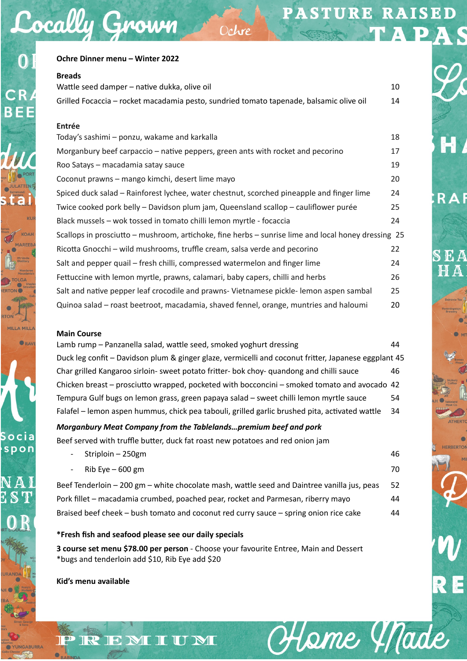Heme Y Made

**RAF** 

S E A

| Ochre Dinner menu - Winter 2022                                                                      |    |  |
|------------------------------------------------------------------------------------------------------|----|--|
| <b>Breads</b>                                                                                        |    |  |
| Wattle seed damper - native dukka, olive oil                                                         | 10 |  |
| Grilled Focaccia - rocket macadamia pesto, sundried tomato tapenade, balsamic olive oil              | 14 |  |
|                                                                                                      |    |  |
| <b>Entrée</b>                                                                                        |    |  |
| Today's sashimi - ponzu, wakame and karkalla                                                         | 18 |  |
| Morganbury beef carpaccio - native peppers, green ants with rocket and pecorino                      | 17 |  |
| Roo Satays - macadamia satay sauce                                                                   | 19 |  |
| Coconut prawns - mango kimchi, desert lime mayo                                                      | 20 |  |
| Spiced duck salad - Rainforest lychee, water chestnut, scorched pineapple and finger lime            | 24 |  |
| Twice cooked pork belly - Davidson plum jam, Queensland scallop - cauliflower purée                  | 25 |  |
| Black mussels - wok tossed in tomato chilli lemon myrtle - focaccia                                  | 24 |  |
| Scallops in prosciutto - mushroom, artichoke, fine herbs - sunrise lime and local honey dressing 25  |    |  |
| Ricotta Gnocchi - wild mushrooms, truffle cream, salsa verde and pecorino                            | 22 |  |
| Salt and pepper quail – fresh chilli, compressed watermelon and finger lime                          | 24 |  |
| Fettuccine with lemon myrtle, prawns, calamari, baby capers, chilli and herbs                        | 26 |  |
| Salt and native pepper leaf crocodile and prawns- Vietnamese pickle- lemon aspen sambal              | 25 |  |
| Quinoa salad - roast beetroot, macadamia, shaved fennel, orange, muntries and haloumi                | 20 |  |
|                                                                                                      |    |  |
| <b>Main Course</b>                                                                                   |    |  |
| Lamb rump - Panzanella salad, wattle seed, smoked yoghurt dressing                                   | 44 |  |
| Duck leg confit - Davidson plum & ginger glaze, vermicelli and coconut fritter, Japanese eggplant 45 |    |  |
| Char grilled Kangaroo sirloin- sweet potato fritter- bok choy- quandong and chilli sauce             | 46 |  |
| Chicken breast – prosciutto wrapped, pocketed with bocconcini – smoked tomato and avocado 42         |    |  |
| Tempura Gulf bugs on lemon grass, green papaya salad - sweet chilli lemon myrtle sauce               | 54 |  |
| Falafel – lemon aspen hummus, chick pea tabouli, grilled garlic brushed pita, activated wattle       | 34 |  |
| Morganbury Meat Company from the Tablelandspremium beef and pork                                     |    |  |

Ochre

Beef served with truffle butter, duck fat roast new potatoes and red onion jam

- Striploin – 250gm 46  $\mathsf{Rib}$  Eve – 600 gm  $\mathsf{Rib}$  Eve – 600 gm  $\mathsf{Rib}$ Beef Tenderloin – 200 gm – white chocolate mash, wattle seed and Daintree vanilla jus, peas 52

Pork fillet – macadamia crumbed, poached pear, rocket and Parmesan, riberry mayo 44 Braised beef cheek – bush tomato and coconut red curry sauce – spring onion rice cake 44

**\*Fresh fish and seafood please see our daily specials** 

REMIUM

**3 course set menu \$78.00 per person** - Choose your favourite Entree, Main and Dessert \*bugs and tenderloin add \$10, Rib Eye add \$20

**Kid's menu available** 

Cocally Grown

 $\bigcirc$ 

CR

**BEE** 

**ORA** 

Socia spon